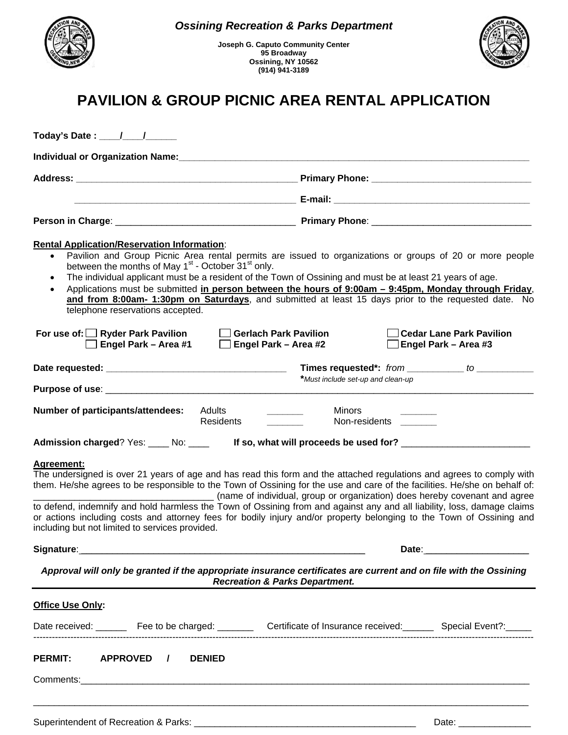

**Joseph G. Caputo Community Center 95 Broadway Ossining, NY 10562 (914) 941-3189** 



## **PAVILION & GROUP PICNIC AREA RENTAL APPLICATION**

| Today's Date : ____/___ /                                                                                                                                            |                                                                                                                                                                                                                                                                                                                                                                                                                                        |
|----------------------------------------------------------------------------------------------------------------------------------------------------------------------|----------------------------------------------------------------------------------------------------------------------------------------------------------------------------------------------------------------------------------------------------------------------------------------------------------------------------------------------------------------------------------------------------------------------------------------|
|                                                                                                                                                                      |                                                                                                                                                                                                                                                                                                                                                                                                                                        |
|                                                                                                                                                                      |                                                                                                                                                                                                                                                                                                                                                                                                                                        |
|                                                                                                                                                                      |                                                                                                                                                                                                                                                                                                                                                                                                                                        |
|                                                                                                                                                                      |                                                                                                                                                                                                                                                                                                                                                                                                                                        |
| <b>Rental Application/Reservation Information:</b><br>between the months of May 1 <sup>st</sup> - October 31 <sup>st</sup> only.<br>telephone reservations accepted. | Pavilion and Group Picnic Area rental permits are issued to organizations or groups of 20 or more people<br>The individual applicant must be a resident of the Town of Ossining and must be at least 21 years of age.<br>Applications must be submitted in person between the hours of 9:00am - 9:45pm, Monday through Friday,<br>and from 8:00am- 1:30pm on Saturdays, and submitted at least 15 days prior to the requested date. No |
| For use of: $\Box$ Ryder Park Pavilion<br>□ Engel Park – Area #1                                                                                                     | $\Box$ Gerlach Park Pavilion<br><b>Cedar Lane Park Pavilion</b><br>$\Box$ Engel Park – Area #2<br>$\Box$ Engel Park – Area #3                                                                                                                                                                                                                                                                                                          |
|                                                                                                                                                                      | Times requested*: from __________ to __________                                                                                                                                                                                                                                                                                                                                                                                        |
|                                                                                                                                                                      | *Must include set-up and clean-up                                                                                                                                                                                                                                                                                                                                                                                                      |
| <b>Number of participants/attendees:</b><br>Adults<br><b>Residents</b><br>Admission charged? Yes: ____ No: ____                                                      | Minors<br>Non-residents<br>If so, what will proceeds be used for? _______                                                                                                                                                                                                                                                                                                                                                              |
| Agreement:                                                                                                                                                           | The undersigned is over 21 years of age and has read this form and the attached regulations and agrees to comply with<br>them. He/she agrees to be responsible to the Town of Ossining for the use and care of the facilities. He/she on behalf of:<br>(name of individual, group or organization) does hereby covenant and agree                                                                                                      |
| including but not limited to services provided.                                                                                                                      | to defend, indemnify and hold harmless the Town of Ossining from and against any and all liability, loss, damage claims<br>or actions including costs and attorney fees for bodily injury and/or property belonging to the Town of Ossining and                                                                                                                                                                                        |
| Signature:                                                                                                                                                           | Date:                                                                                                                                                                                                                                                                                                                                                                                                                                  |
|                                                                                                                                                                      | Approval will only be granted if the appropriate insurance certificates are current and on file with the Ossining<br><b>Recreation &amp; Parks Department.</b>                                                                                                                                                                                                                                                                         |
| Office Use Only:                                                                                                                                                     |                                                                                                                                                                                                                                                                                                                                                                                                                                        |
|                                                                                                                                                                      | Date received: _______ Fee to be charged: ________ Certificate of Insurance received: ______ Special Event?: ____                                                                                                                                                                                                                                                                                                                      |
| PERMIT: APPROVED /<br><b>DENIED</b>                                                                                                                                  |                                                                                                                                                                                                                                                                                                                                                                                                                                        |
|                                                                                                                                                                      | ,我们也不能在这里的,我们也不能在这里的人,我们也不能在这里的人,我们也不能在这里的人,我们也不能在这里的人,我们也不能在这里的人,我们也不能在这里的人,我们也                                                                                                                                                                                                                                                                                                                                                       |